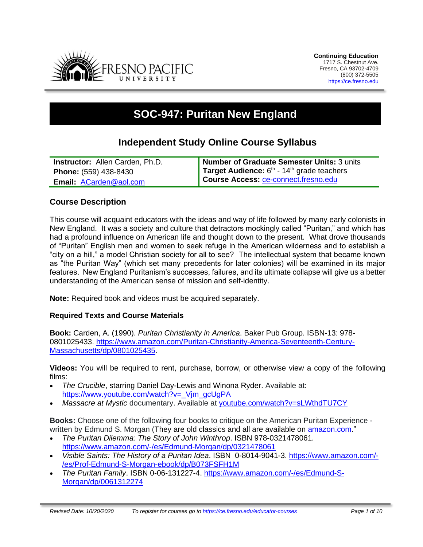

# **SOC-947: Puritan New England**

# **Independent Study Online Course Syllabus**

| <b>Instructor:</b> Allen Carden, Ph.D. | Number of Graduate Semester Units: 3 units                      |
|----------------------------------------|-----------------------------------------------------------------|
| <b>Phone:</b> (559) 438-8430           | <b>Target Audience:</b> $6th$ - 14 <sup>th</sup> grade teachers |
| <b>Email: ACarden@aol.com</b>          | Course Access: ce-connect.fresno.edu                            |

# **Course Description**

This course will acquaint educators with the ideas and way of life followed by many early colonists in New England. It was a society and culture that detractors mockingly called "Puritan," and which has had a profound influence on American life and thought down to the present. What drove thousands of "Puritan" English men and women to seek refuge in the American wilderness and to establish a "city on a hill," a model Christian society for all to see? The intellectual system that became known as "the Puritan Way" (which set many precedents for later colonies) will be examined in its major features. New England Puritanism's successes, failures, and its ultimate collapse will give us a better understanding of the American sense of mission and self-identity.

**Note:** Required book and videos must be acquired separately.

#### **Required Texts and Course Materials**

**Book:** Carden, A. (1990). *Puritan Christianity in America*. Baker Pub Group. ISBN-13: 978- 0801025433. [https://www.amazon.com/Puritan-Christianity-America-Seventeenth-Century-](https://www.amazon.com/Puritan-Christianity-America-Seventeenth-Century-Massachusetts/dp/0801025435)[Massachusetts/dp/0801025435.](https://www.amazon.com/Puritan-Christianity-America-Seventeenth-Century-Massachusetts/dp/0801025435)

**Videos:** You will be required to rent, purchase, borrow, or otherwise view a copy of the following films:

- *The Crucible*, starring Daniel Day-Lewis and Winona Ryder. Available at: [https://www.youtube.com/watch?v=\\_Vjm\\_gcUgPA](https://www.youtube.com/watch?v=_Vjm_gcUgPA)
- *Massacre at Mystic* documentary. Available at [youtube.com/watch?v=sLWthdTU7CY](http://youtube.com/watch?v=sLWthdTU7CY)

**Books:** Choose one of the following four books to critique on the American Puritan Experience written by Edmund S. Morgan (They are old classics and all are available on [amazon.com.](http://amazon.com/)"

- *The Puritan Dilemma: The Story of John Winthrop*. ISBN 978-0321478061. <https://www.amazon.com/-/es/Edmund-Morgan/dp/0321478061>
- *Visible Saints: The History of a Puritan Idea*. ISBN 0-8014-9041-3. [https://www.amazon.com/-](https://www.amazon.com/-/es/Prof-Edmund-S-Morgan-ebook/dp/B073FSFH1M) [/es/Prof-Edmund-S-Morgan-ebook/dp/B073FSFH1M](https://www.amazon.com/-/es/Prof-Edmund-S-Morgan-ebook/dp/B073FSFH1M)
- *The Puritan Family*. ISBN 0-06-131227-4. [https://www.amazon.com/-/es/Edmund-S-](https://www.amazon.com/-/es/Edmund-S-Morgan/dp/0061312274)[Morgan/dp/0061312274](https://www.amazon.com/-/es/Edmund-S-Morgan/dp/0061312274)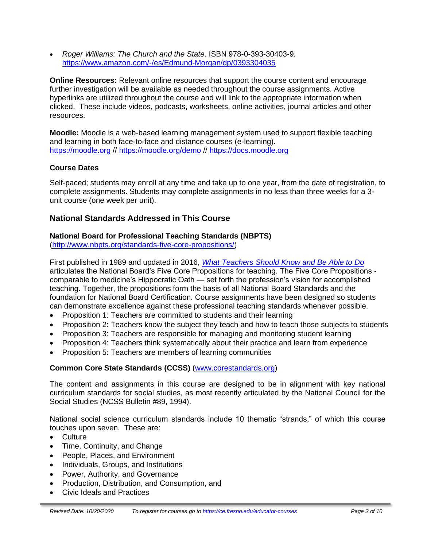• *Roger Williams: The Church and the State*. ISBN 978-0-393-30403-9. [https://www.amazon.com/-/es/Edmund-Morgan/dp/0393304035](https://www.amazon.com/-/es/Edmund-Morgan/dp/0393304035n)

**Online Resources:** Relevant online resources that support the course content and encourage further investigation will be available as needed throughout the course assignments. Active hyperlinks are utilized throughout the course and will link to the appropriate information when clicked. These include videos, podcasts, worksheets, online activities, journal articles and other resources.

**Moodle:** Moodle is a web-based learning management system used to support flexible teaching and learning in both face-to-face and distance courses (e-learning). [https://moodle.org](https://moodle.org/) // <https://moodle.org/demo> // [https://docs.moodle.org](https://docs.moodle.org/)

# **Course Dates**

Self-paced; students may enroll at any time and take up to one year, from the date of registration, to complete assignments. Students may complete assignments in no less than three weeks for a 3 unit course (one week per unit).

# **National Standards Addressed in This Course**

#### **National Board for Professional Teaching Standards (NBPTS)**

[\(http://www.nbpts.org/standards-five-core-propositions/\)](http://www.nbpts.org/standards-five-core-propositions/)

First published in 1989 and updated in 2016, *[What Teachers Should Know and Be Able to Do](http://www.accomplishedteacher.org/)* articulates the National Board's Five Core Propositions for teaching. The Five Core Propositions comparable to medicine's Hippocratic Oath — set forth the profession's vision for accomplished teaching. Together, the propositions form the basis of all National Board Standards and the foundation for National Board Certification. Course assignments have been designed so students can demonstrate excellence against these professional teaching standards whenever possible.

- Proposition 1: Teachers are committed to students and their learning
- Proposition 2: Teachers know the subject they teach and how to teach those subjects to students
- Proposition 3: Teachers are responsible for managing and monitoring student learning
- Proposition 4: Teachers think systematically about their practice and learn from experience
- Proposition 5: Teachers are members of learning communities

# **Common Core State Standards (CCSS)** [\(www.corestandards.org\)](http://www.corestandards.org/)

The content and assignments in this course are designed to be in alignment with key national curriculum standards for social studies, as most recently articulated by the National Council for the Social Studies (NCSS Bulletin #89, 1994).

National social science curriculum standards include 10 thematic "strands," of which this course touches upon seven. These are:

- Culture
- Time, Continuity, and Change
- People, Places, and Environment
- Individuals, Groups, and Institutions
- Power, Authority, and Governance
- Production, Distribution, and Consumption, and
- Civic Ideals and Practices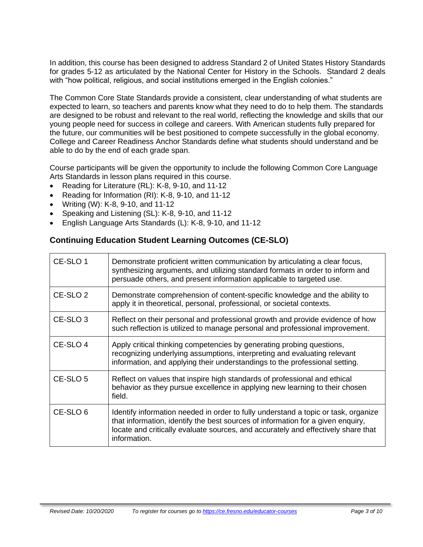In addition, this course has been designed to address Standard 2 of United States History Standards for grades 5-12 as articulated by the National Center for History in the Schools. Standard 2 deals with "how political, religious, and social institutions emerged in the English colonies."

The Common Core State Standards provide a consistent, clear understanding of what students are expected to learn, so teachers and parents know what they need to do to help them. The standards are designed to be robust and relevant to the real world, reflecting the knowledge and skills that our young people need for success in college and careers. With American students fully prepared for the future, our communities will be best positioned to compete successfully in the global economy. College and Career Readiness Anchor Standards define what students should understand and be able to do by the end of each grade span.

Course participants will be given the opportunity to include the following Common Core Language Arts Standards in lesson plans required in this course.

- Reading for Literature (RL): K-8, 9-10, and 11-12
- Reading for Information (RI): K-8, 9-10, and 11-12
- Writing (W): K-8, 9-10, and 11-12
- Speaking and Listening (SL): K-8, 9-10, and 11-12
- English Language Arts Standards (L): K-8, 9-10, and 11-12

# **Continuing Education Student Learning Outcomes (CE-SLO)**

| CE-SLO 1            | Demonstrate proficient written communication by articulating a clear focus,<br>synthesizing arguments, and utilizing standard formats in order to inform and<br>persuade others, and present information applicable to targeted use.                                       |
|---------------------|----------------------------------------------------------------------------------------------------------------------------------------------------------------------------------------------------------------------------------------------------------------------------|
| CE-SLO <sub>2</sub> | Demonstrate comprehension of content-specific knowledge and the ability to<br>apply it in theoretical, personal, professional, or societal contexts.                                                                                                                       |
| CE-SLO <sub>3</sub> | Reflect on their personal and professional growth and provide evidence of how<br>such reflection is utilized to manage personal and professional improvement.                                                                                                              |
| CE-SLO 4            | Apply critical thinking competencies by generating probing questions,<br>recognizing underlying assumptions, interpreting and evaluating relevant<br>information, and applying their understandings to the professional setting.                                           |
| CE-SLO 5            | Reflect on values that inspire high standards of professional and ethical<br>behavior as they pursue excellence in applying new learning to their chosen<br>field.                                                                                                         |
| CE-SLO <sub>6</sub> | Identify information needed in order to fully understand a topic or task, organize<br>that information, identify the best sources of information for a given enquiry,<br>locate and critically evaluate sources, and accurately and effectively share that<br>information. |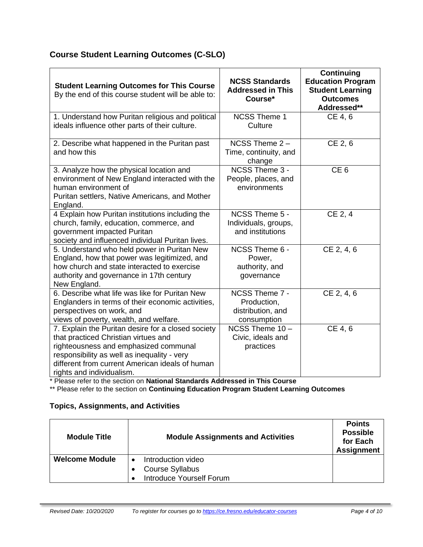# **Course Student Learning Outcomes (C-SLO)**

| <b>Student Learning Outcomes for This Course</b><br>By the end of this course student will be able to:                                                                                                                                                             | <b>NCSS Standards</b><br><b>Addressed in This</b><br>Course*      | <b>Continuing</b><br><b>Education Program</b><br><b>Student Learning</b><br><b>Outcomes</b><br>Addressed** |
|--------------------------------------------------------------------------------------------------------------------------------------------------------------------------------------------------------------------------------------------------------------------|-------------------------------------------------------------------|------------------------------------------------------------------------------------------------------------|
| 1. Understand how Puritan religious and political<br>ideals influence other parts of their culture.                                                                                                                                                                | <b>NCSS Theme 1</b><br>Culture                                    | CE 4, 6                                                                                                    |
| 2. Describe what happened in the Puritan past<br>and how this                                                                                                                                                                                                      | NCSS Theme 2-<br>Time, continuity, and<br>change                  | $CE$ 2, 6                                                                                                  |
| 3. Analyze how the physical location and<br>environment of New England interacted with the<br>human environment of<br>Puritan settlers, Native Americans, and Mother<br>England.                                                                                   | NCSS Theme 3 -<br>People, places, and<br>environments             | CE <sub>6</sub>                                                                                            |
| 4 Explain how Puritan institutions including the<br>church, family, education, commerce, and<br>government impacted Puritan<br>society and influenced individual Puritan lives.                                                                                    | NCSS Theme 5 -<br>Individuals, groups,<br>and institutions        | CE 2, 4                                                                                                    |
| 5. Understand who held power in Puritan New<br>England, how that power was legitimized, and<br>how church and state interacted to exercise<br>authority and governance in 17th century<br>New England.                                                             | NCSS Theme 6 -<br>Power,<br>authority, and<br>governance          | CE 2, 4, 6                                                                                                 |
| 6. Describe what life was like for Puritan New<br>Englanders in terms of their economic activities,<br>perspectives on work, and<br>views of poverty, wealth, and welfare.                                                                                         | NCSS Theme 7 -<br>Production,<br>distribution, and<br>consumption | CE 2, 4, 6                                                                                                 |
| 7. Explain the Puritan desire for a closed society<br>that practiced Christian virtues and<br>righteousness and emphasized communal<br>responsibility as well as inequality - very<br>different from current American ideals of human<br>rights and individualism. | NCSS Theme 10-<br>Civic, ideals and<br>practices                  | CE 4, 6                                                                                                    |

\* Please refer to the section on **National Standards Addressed in This Course**

\*\* Please refer to the section on **Continuing Education Program Student Learning Outcomes**

# **Topics, Assignments, and Activities**

| <b>Module Title</b>   | <b>Module Assignments and Activities</b>                                        | <b>Points</b><br><b>Possible</b><br>for Each<br><b>Assignment</b> |
|-----------------------|---------------------------------------------------------------------------------|-------------------------------------------------------------------|
| <b>Welcome Module</b> | Introduction video<br><b>Course Syllabus</b><br><b>Introduce Yourself Forum</b> |                                                                   |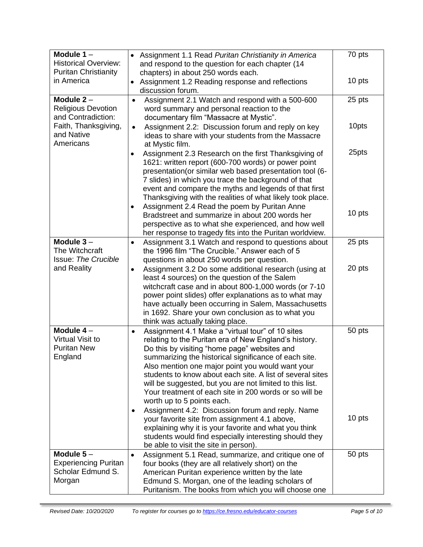| Module $1 -$<br><b>Historical Overview:</b><br><b>Puritan Christianity</b> | Assignment 1.1 Read Puritan Christianity in America<br>$\bullet$<br>and respond to the question for each chapter (14<br>chapters) in about 250 words each.                                                                                                                                                                                                                                                                                                                                           | 70 pts |
|----------------------------------------------------------------------------|------------------------------------------------------------------------------------------------------------------------------------------------------------------------------------------------------------------------------------------------------------------------------------------------------------------------------------------------------------------------------------------------------------------------------------------------------------------------------------------------------|--------|
| in America                                                                 | Assignment 1.2 Reading response and reflections<br>discussion forum.                                                                                                                                                                                                                                                                                                                                                                                                                                 | 10 pts |
| Module $2 -$<br><b>Religious Devotion</b><br>and Contradiction:            | Assignment 2.1 Watch and respond with a 500-600<br>$\bullet$<br>word summary and personal reaction to the<br>documentary film "Massacre at Mystic".                                                                                                                                                                                                                                                                                                                                                  | 25 pts |
| Faith, Thanksgiving,<br>and Native<br>Americans                            | Assignment 2.2: Discussion forum and reply on key<br>$\bullet$<br>ideas to share with your students from the Massacre<br>at Mystic film.                                                                                                                                                                                                                                                                                                                                                             | 10pts  |
|                                                                            | Assignment 2.3 Research on the first Thanksgiving of<br>$\bullet$<br>1621: written report (600-700 words) or power point<br>presentation(or similar web based presentation tool (6-<br>7 slides) in which you trace the background of that<br>event and compare the myths and legends of that first<br>Thanksgiving with the realities of what likely took place.                                                                                                                                    | 25pts  |
|                                                                            | Assignment 2.4 Read the poem by Puritan Anne<br>$\bullet$<br>Bradstreet and summarize in about 200 words her<br>perspective as to what she experienced, and how well<br>her response to tragedy fits into the Puritan worldview.                                                                                                                                                                                                                                                                     | 10 pts |
| Module $3-$<br>The Witchcraft<br><b>Issue: The Crucible</b>                | Assignment 3.1 Watch and respond to questions about<br>$\bullet$<br>the 1996 film "The Crucible." Answer each of 5<br>questions in about 250 words per question.                                                                                                                                                                                                                                                                                                                                     | 25 pts |
| and Reality                                                                | Assignment 3.2 Do some additional research (using at<br>$\bullet$<br>least 4 sources) on the question of the Salem<br>witchcraft case and in about 800-1,000 words (or 7-10<br>power point slides) offer explanations as to what may<br>have actually been occurring in Salem, Massachusetts<br>in 1692. Share your own conclusion as to what you<br>think was actually taking place.                                                                                                                | 20 pts |
| Module $4-$<br>Virtual Visit to<br><b>Puritan New</b><br>England           | Assignment 4.1 Make a "virtual tour" of 10 sites<br>$\bullet$<br>relating to the Puritan era of New England's history.<br>Do this by visiting "home page" websites and<br>summarizing the historical significance of each site.<br>Also mention one major point you would want your<br>students to know about each site. A list of several sites<br>will be suggested, but you are not limited to this list.<br>Your treatment of each site in 200 words or so will be<br>worth up to 5 points each. | 50 pts |
|                                                                            | Assignment 4.2: Discussion forum and reply. Name<br>your favorite site from assignment 4.1 above,<br>explaining why it is your favorite and what you think<br>students would find especially interesting should they<br>be able to visit the site in person).                                                                                                                                                                                                                                        | 10 pts |
| Module $5-$<br><b>Experiencing Puritan</b><br>Scholar Edmund S.<br>Morgan  | Assignment 5.1 Read, summarize, and critique one of<br>$\bullet$<br>four books (they are all relatively short) on the<br>American Puritan experience written by the late<br>Edmund S. Morgan, one of the leading scholars of                                                                                                                                                                                                                                                                         | 50 pts |
|                                                                            | Puritanism. The books from which you will choose one                                                                                                                                                                                                                                                                                                                                                                                                                                                 |        |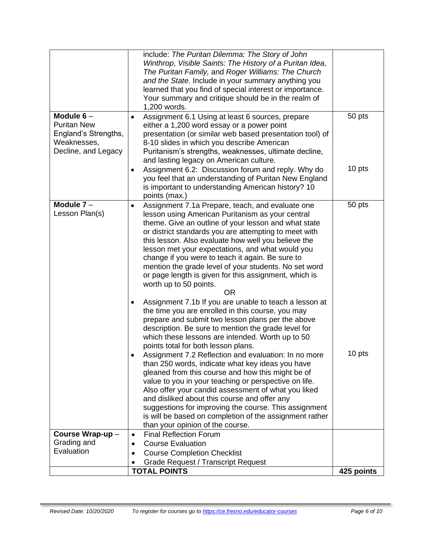|                                                                                                 | include: The Puritan Dilemma: The Story of John<br>Winthrop, Visible Saints: The History of a Puritan Idea,<br>The Puritan Family, and Roger Williams: The Church<br>and the State. Include in your summary anything you<br>learned that you find of special interest or importance.<br>Your summary and critique should be in the realm of<br>1,200 words.                                                                                                                                                                                                                                                                                                                                                                                                                                                                                                                            |                  |
|-------------------------------------------------------------------------------------------------|----------------------------------------------------------------------------------------------------------------------------------------------------------------------------------------------------------------------------------------------------------------------------------------------------------------------------------------------------------------------------------------------------------------------------------------------------------------------------------------------------------------------------------------------------------------------------------------------------------------------------------------------------------------------------------------------------------------------------------------------------------------------------------------------------------------------------------------------------------------------------------------|------------------|
| Module $6-$<br><b>Puritan New</b><br>England's Strengths,<br>Weaknesses,<br>Decline, and Legacy | Assignment 6.1 Using at least 6 sources, prepare<br>$\bullet$<br>either a 1,200 word essay or a power point<br>presentation (or similar web based presentation tool) of<br>8-10 slides in which you describe American<br>Puritanism's strengths, weaknesses, ultimate decline,<br>and lasting legacy on American culture.<br>Assignment 6.2: Discussion forum and reply. Why do<br>$\bullet$                                                                                                                                                                                                                                                                                                                                                                                                                                                                                           | 50 pts<br>10 pts |
|                                                                                                 | you feel that an understanding of Puritan New England<br>is important to understanding American history? 10<br>points (max.)                                                                                                                                                                                                                                                                                                                                                                                                                                                                                                                                                                                                                                                                                                                                                           |                  |
| Module $7 -$<br>Lesson Plan(s)                                                                  | Assignment 7.1a Prepare, teach, and evaluate one<br>$\bullet$<br>lesson using American Puritanism as your central<br>theme. Give an outline of your lesson and what state<br>or district standards you are attempting to meet with<br>this lesson. Also evaluate how well you believe the<br>lesson met your expectations, and what would you<br>change if you were to teach it again. Be sure to<br>mention the grade level of your students. No set word<br>or page length is given for this assignment, which is<br>worth up to 50 points.<br>0R<br>Assignment 7.1b If you are unable to teach a lesson at<br>$\bullet$<br>the time you are enrolled in this course, you may<br>prepare and submit two lesson plans per the above<br>description. Be sure to mention the grade level for<br>which these lessons are intended. Worth up to 50<br>points total for both lesson plans. | 50 pts           |
|                                                                                                 | Assignment 7.2 Reflection and evaluation: In no more<br>than 250 words, indicate what key ideas you have<br>gleaned from this course and how this might be of<br>value to you in your teaching or perspective on life.<br>Also offer your candid assessment of what you liked<br>and disliked about this course and offer any<br>suggestions for improving the course. This assignment<br>is will be based on completion of the assignment rather<br>than your opinion of the course.                                                                                                                                                                                                                                                                                                                                                                                                  | 10 pts           |
| Course Wrap-up-                                                                                 | <b>Final Reflection Forum</b><br>$\bullet$                                                                                                                                                                                                                                                                                                                                                                                                                                                                                                                                                                                                                                                                                                                                                                                                                                             |                  |
| Grading and<br>Evaluation                                                                       | <b>Course Evaluation</b><br>$\bullet$                                                                                                                                                                                                                                                                                                                                                                                                                                                                                                                                                                                                                                                                                                                                                                                                                                                  |                  |
|                                                                                                 | <b>Course Completion Checklist</b><br>$\bullet$<br><b>Grade Request / Transcript Request</b>                                                                                                                                                                                                                                                                                                                                                                                                                                                                                                                                                                                                                                                                                                                                                                                           |                  |
|                                                                                                 | <b>TOTAL POINTS</b>                                                                                                                                                                                                                                                                                                                                                                                                                                                                                                                                                                                                                                                                                                                                                                                                                                                                    | 425 points       |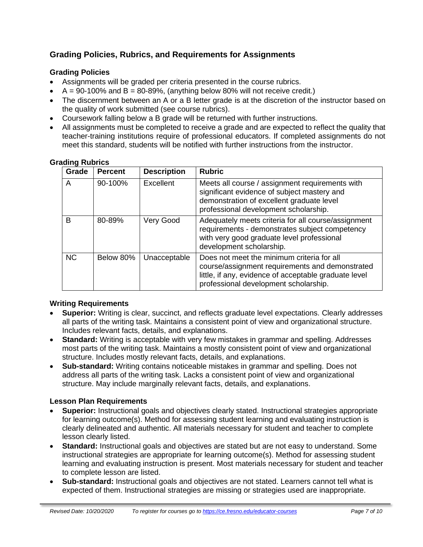# **Grading Policies, Rubrics, and Requirements for Assignments**

# **Grading Policies**

- Assignments will be graded per criteria presented in the course rubrics.
- $\bullet$  A = 90-100% and B = 80-89%, (anything below 80% will not receive credit.)
- The discernment between an A or a B letter grade is at the discretion of the instructor based on the quality of work submitted (see course rubrics).
- Coursework falling below a B grade will be returned with further instructions.
- All assignments must be completed to receive a grade and are expected to reflect the quality that teacher-training institutions require of professional educators. If completed assignments do not meet this standard, students will be notified with further instructions from the instructor.

| Grade     | <b>Percent</b> | <b>Description</b> | <b>Rubric</b>                                                                                                                                                                                   |
|-----------|----------------|--------------------|-------------------------------------------------------------------------------------------------------------------------------------------------------------------------------------------------|
| A         | 90-100%        | Excellent          | Meets all course / assignment requirements with<br>significant evidence of subject mastery and<br>demonstration of excellent graduate level<br>professional development scholarship.            |
| B         | 80-89%         | Very Good          | Adequately meets criteria for all course/assignment<br>requirements - demonstrates subject competency<br>with very good graduate level professional<br>development scholarship.                 |
| <b>NC</b> | Below 80%      | Unacceptable       | Does not meet the minimum criteria for all<br>course/assignment requirements and demonstrated<br>little, if any, evidence of acceptable graduate level<br>professional development scholarship. |

#### **Grading Rubrics**

#### **Writing Requirements**

- **Superior:** Writing is clear, succinct, and reflects graduate level expectations. Clearly addresses all parts of the writing task. Maintains a consistent point of view and organizational structure. Includes relevant facts, details, and explanations.
- **Standard:** Writing is acceptable with very few mistakes in grammar and spelling. Addresses most parts of the writing task. Maintains a mostly consistent point of view and organizational structure. Includes mostly relevant facts, details, and explanations.
- **Sub-standard:** Writing contains noticeable mistakes in grammar and spelling. Does not address all parts of the writing task. Lacks a consistent point of view and organizational structure. May include marginally relevant facts, details, and explanations.

#### **Lesson Plan Requirements**

- **Superior:** Instructional goals and objectives clearly stated. Instructional strategies appropriate for learning outcome(s). Method for assessing student learning and evaluating instruction is clearly delineated and authentic. All materials necessary for student and teacher to complete lesson clearly listed.
- **Standard:** Instructional goals and objectives are stated but are not easy to understand. Some instructional strategies are appropriate for learning outcome(s). Method for assessing student learning and evaluating instruction is present. Most materials necessary for student and teacher to complete lesson are listed.
- **Sub-standard:** Instructional goals and objectives are not stated. Learners cannot tell what is expected of them. Instructional strategies are missing or strategies used are inappropriate.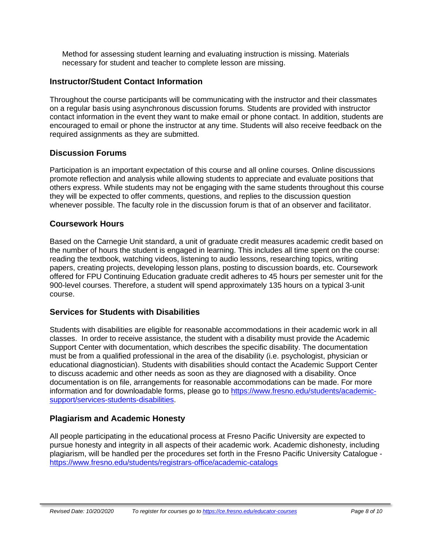Method for assessing student learning and evaluating instruction is missing. Materials necessary for student and teacher to complete lesson are missing.

# **Instructor/Student Contact Information**

Throughout the course participants will be communicating with the instructor and their classmates on a regular basis using asynchronous discussion forums. Students are provided with instructor contact information in the event they want to make email or phone contact. In addition, students are encouraged to email or phone the instructor at any time. Students will also receive feedback on the required assignments as they are submitted.

# **Discussion Forums**

Participation is an important expectation of this course and all online courses. Online discussions promote reflection and analysis while allowing students to appreciate and evaluate positions that others express. While students may not be engaging with the same students throughout this course they will be expected to offer comments, questions, and replies to the discussion question whenever possible. The faculty role in the discussion forum is that of an observer and facilitator.

# **Coursework Hours**

Based on the Carnegie Unit standard, a unit of graduate credit measures academic credit based on the number of hours the student is engaged in learning. This includes all time spent on the course: reading the textbook, watching videos, listening to audio lessons, researching topics, writing papers, creating projects, developing lesson plans, posting to discussion boards, etc. Coursework offered for FPU Continuing Education graduate credit adheres to 45 hours per semester unit for the 900-level courses. Therefore, a student will spend approximately 135 hours on a typical 3-unit course.

# **Services for Students with Disabilities**

Students with disabilities are eligible for reasonable accommodations in their academic work in all classes. In order to receive assistance, the student with a disability must provide the Academic Support Center with documentation, which describes the specific disability. The documentation must be from a qualified professional in the area of the disability (i.e. psychologist, physician or educational diagnostician). Students with disabilities should contact the Academic Support Center to discuss academic and other needs as soon as they are diagnosed with a disability. Once documentation is on file, arrangements for reasonable accommodations can be made. For more information and for downloadable forms, please go to [https://www.fresno.edu/students/academic](https://www.fresno.edu/students/academic-support/services-students-disabilities)[support/services-students-disabilities.](https://www.fresno.edu/students/academic-support/services-students-disabilities)

# **Plagiarism and Academic Honesty**

All people participating in the educational process at Fresno Pacific University are expected to pursue honesty and integrity in all aspects of their academic work. Academic dishonesty, including plagiarism, will be handled per the procedures set forth in the Fresno Pacific University Catalogue <https://www.fresno.edu/students/registrars-office/academic-catalogs>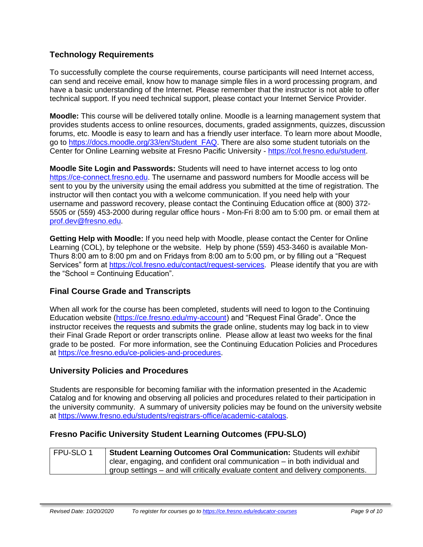# **Technology Requirements**

To successfully complete the course requirements, course participants will need Internet access, can send and receive email, know how to manage simple files in a word processing program, and have a basic understanding of the Internet. Please remember that the instructor is not able to offer technical support. If you need technical support, please contact your Internet Service Provider.

**Moodle:** This course will be delivered totally online. Moodle is a learning management system that provides students access to online resources, documents, graded assignments, quizzes, discussion forums, etc. Moodle is easy to learn and has a friendly user interface. To learn more about Moodle, go to [https://docs.moodle.org/33/en/Student\\_FAQ.](https://docs.moodle.org/33/en/Student_FAQ) There are also some student tutorials on the Center for Online Learning website at Fresno Pacific University - [https://col.fresno.edu/student.](https://col.fresno.edu/student)

**Moodle Site Login and Passwords:** Students will need to have internet access to log onto [https://ce-connect.fresno.edu.](https://ce-connect.fresno.edu/) The username and password numbers for Moodle access will be sent to you by the university using the email address you submitted at the time of registration. The instructor will then contact you with a welcome communication. If you need help with your username and password recovery, please contact the Continuing Education office at (800) 372- 5505 or (559) 453-2000 during regular office hours - Mon-Fri 8:00 am to 5:00 pm. or email them at [prof.dev@fresno.edu.](mailto:prof.dev@fresno.edu)

**Getting Help with Moodle:** If you need help with Moodle, please contact the Center for Online Learning (COL), by telephone or the website. Help by phone (559) 453-3460 is available Mon-Thurs 8:00 am to 8:00 pm and on Fridays from 8:00 am to 5:00 pm, or by filling out a "Request Services" form at [https://col.fresno.edu/contact/request-services.](https://col.fresno.edu/contact/request-services) Please identify that you are with the "School = Continuing Education".

# **Final Course Grade and Transcripts**

When all work for the course has been completed, students will need to logon to the Continuing Education website [\(https://ce.fresno.edu/my-account\)](https://ce.fresno.edu/my-account) and "Request Final Grade". Once the instructor receives the requests and submits the grade online, students may log back in to view their Final Grade Report or order transcripts online. Please allow at least two weeks for the final grade to be posted. For more information, see the Continuing Education Policies and Procedures at [https://ce.fresno.edu/ce-policies-and-procedures.](https://ce.fresno.edu/ce-policies-and-procedures)

# **University Policies and Procedures**

Students are responsible for becoming familiar with the information presented in the Academic Catalog and for knowing and observing all policies and procedures related to their participation in the university community. A summary of university policies may be found on the university website at [https://www.fresno.edu/students/registrars-office/academic-catalogs.](https://www.fresno.edu/students/registrars-office/academic-catalogs)

# **Fresno Pacific University Student Learning Outcomes (FPU-SLO)**

| FPU-SLO1 | Student Learning Outcomes Oral Communication: Students will exhibit            |
|----------|--------------------------------------------------------------------------------|
|          | clear, engaging, and confident oral communication $-$ in both individual and   |
|          | group settings – and will critically evaluate content and delivery components. |